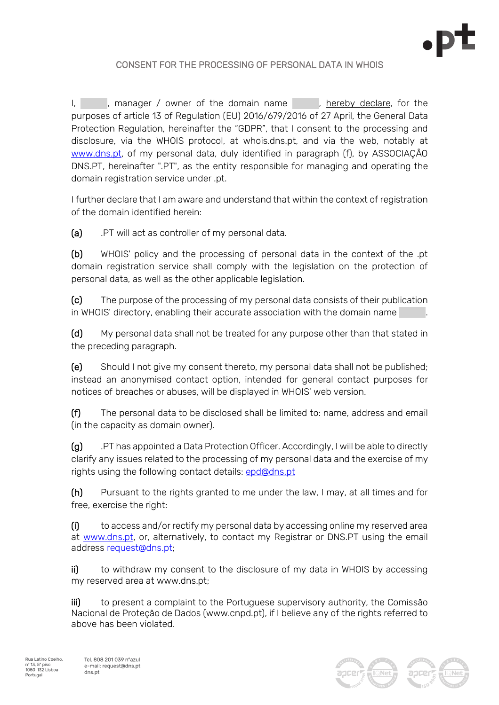

## CONSENT FOR THE PROCESSING OF PERSONAL DATA IN WHOIS

I, a larger / owner of the domain name and hereby declare, for the purposes of article 13 of Regulation (EU) 2016/679/2016 of 27 April, the General Data Protection Regulation, hereinafter the "GDPR", that I consent to the processing and disclosure, via the WHOIS protocol, at whois.dns.pt, and via the web, notably at www.dns.pt, of my personal data, duly identified in paragraph (f), by ASSOCIAÇÃO DNS.PT, hereinafter ".PT", as the entity responsible for managing and operating the domain registration service under .pt.

I further declare that I am aware and understand that within the context of registration of the domain identified herein:

(a) .PT will act as controller of my personal data.

(b) WHOIS' policy and the processing of personal data in the context of the .pt domain registration service shall comply with the legislation on the protection of personal data, as well as the other applicable legislation.

(c) The purpose of the processing of my personal data consists of their publication in WHOIS' directory, enabling their accurate association with the domain name .

(d) My personal data shall not be treated for any purpose other than that stated in the preceding paragraph.

(e) Should I not give my consent thereto, my personal data shall not be published; instead an anonymised contact option, intended for general contact purposes for notices of breaches or abuses, will be displayed in WHOIS' web version.

(f) The personal data to be disclosed shall be limited to: name, address and email (in the capacity as domain owner).

(g) .PT has appointed a Data Protection Officer. Accordingly, I will be able to directly clarify any issues related to the processing of my personal data and the exercise of my rights using the following contact details: epd@dns.pt

(h) Pursuant to the rights granted to me under the law, I may, at all times and for free, exercise the right:

(i) to access and/or rectify my personal data by accessing online my reserved area at www.dns.pt, or, alternatively, to contact my Registrar or DNS.PT using the email address request@dns.pt;

ii) to withdraw my consent to the disclosure of my data in WHOIS by accessing my reserved area at www.dns.pt;

iii) to present a complaint to the Portuguese supervisory authority, the Comissão Nacional de Proteção de Dados (www.cnpd.pt), if I believe any of the rights referred to above has been violated.